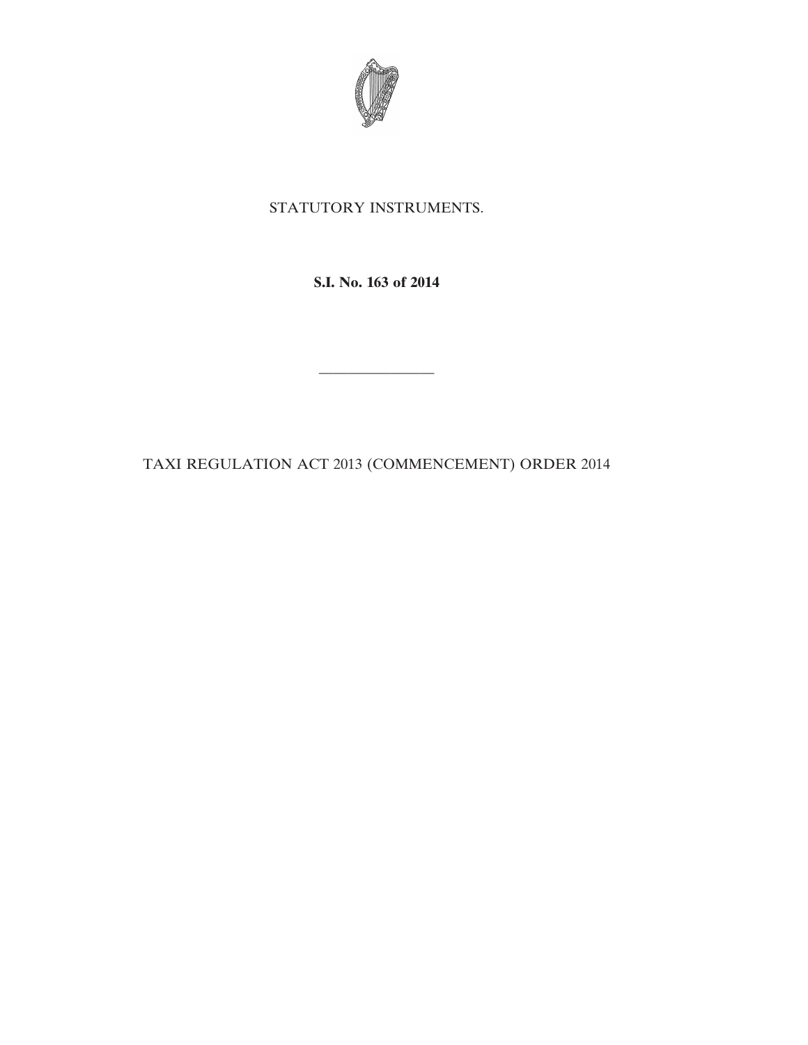

## STATUTORY INSTRUMENTS.

**S.I. No. 163 of 2014**

————————

TAXI REGULATION ACT 2013 (COMMENCEMENT) ORDER 2014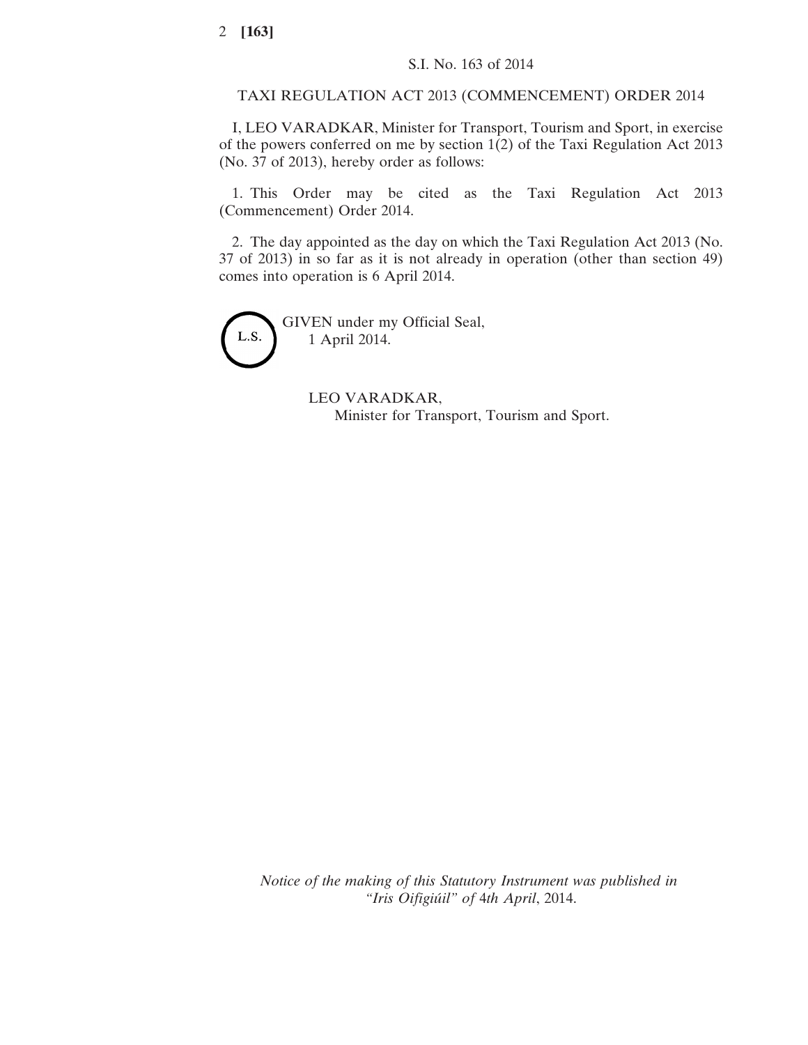## TAXI REGULATION ACT 2013 (COMMENCEMENT) ORDER 2014

I, LEO VARADKAR, Minister for Transport, Tourism and Sport, in exercise of the powers conferred on me by section 1(2) of the Taxi Regulation Act 2013 (No. 37 of 2013), hereby order as follows:

1. This Order may be cited as the Taxi Regulation Act 2013 (Commencement) Order 2014.

2. The day appointed as the day on which the Taxi Regulation Act 2013 (No. 37 of 2013) in so far as it is not already in operation (other than section 49) comes into operation is 6 April 2014.



GIVEN under my Official Seal, 1 April 2014.

> LEO VARADKAR, Minister for Transport, Tourism and Sport.

*Notice of the making of this Statutory Instrument was published in "Iris Oifigiúil" of* 4*th April*, 2014.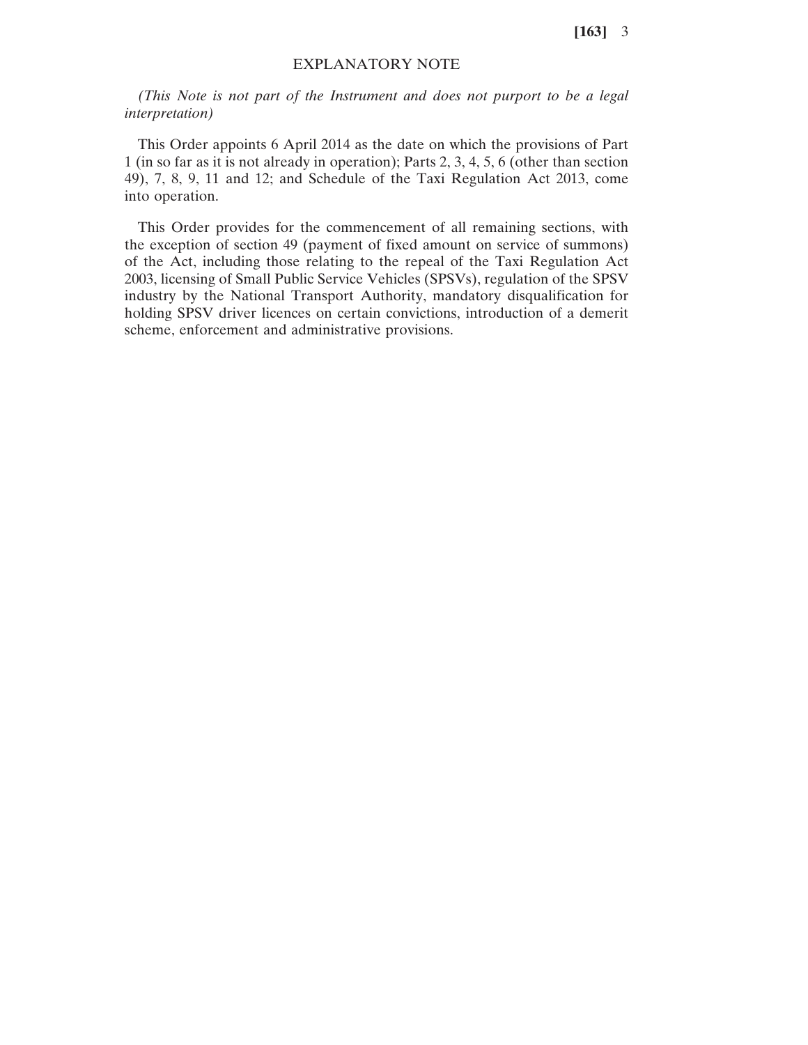**[163]** 3

## EXPLANATORY NOTE

*(This Note is not part of the Instrument and does not purport to be a legal interpretation)*

This Order appoints 6 April 2014 as the date on which the provisions of Part 1 (in so far as it is not already in operation); Parts 2, 3, 4, 5, 6 (other than section 49), 7, 8, 9, 11 and 12; and Schedule of the Taxi Regulation Act 2013, come into operation.

This Order provides for the commencement of all remaining sections, with the exception of section 49 (payment of fixed amount on service of summons) of the Act, including those relating to the repeal of the Taxi Regulation Act 2003, licensing of Small Public Service Vehicles (SPSVs), regulation of the SPSV industry by the National Transport Authority, mandatory disqualification for holding SPSV driver licences on certain convictions, introduction of a demerit scheme, enforcement and administrative provisions.